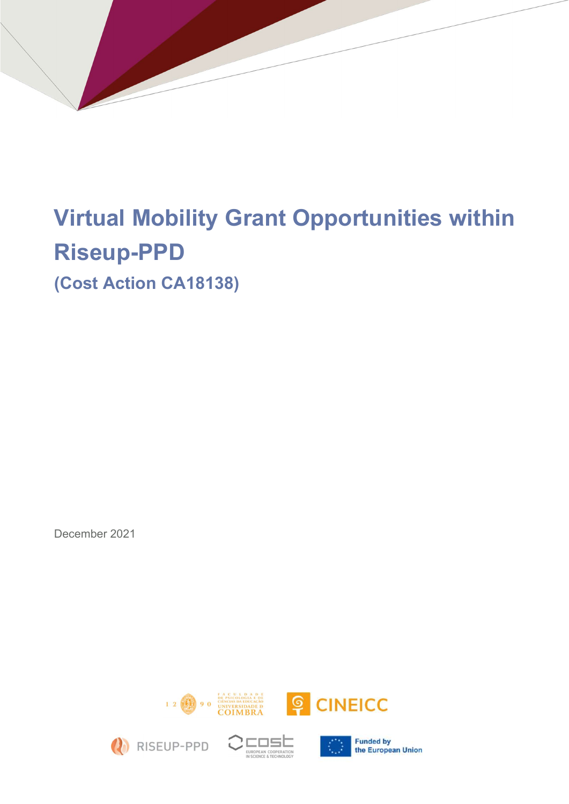# Virtual Mobility Grant Opportunities within Riseup-PPD

(Cost Action CA18138)

December 2021









**Funded by** the European Union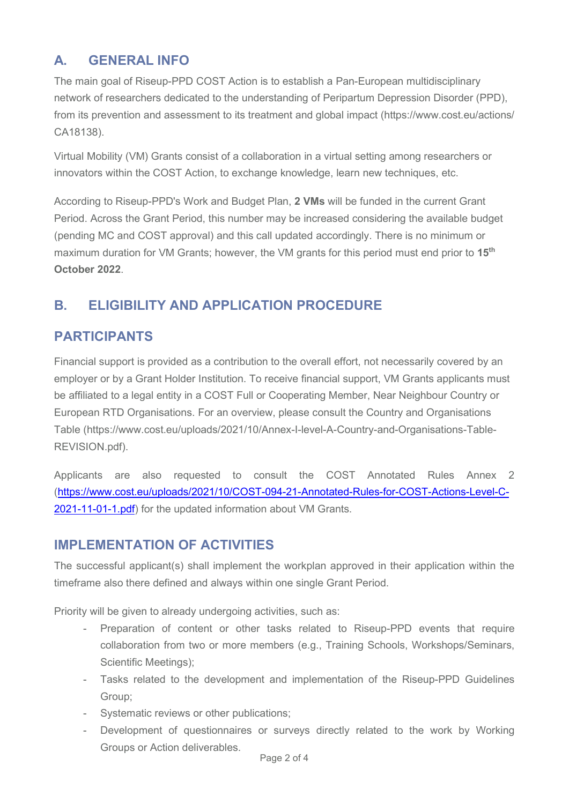## A. GENERAL INFO

The main goal of Riseup-PPD COST Action is to establish a Pan-European multidisciplinary network of researchers dedicated to the understanding of Peripartum Depression Disorder (PPD), from its prevention and assessment to its treatment and global impact (https://www.cost.eu/actions/ CA18138).

Virtual Mobility (VM) Grants consist of a collaboration in a virtual setting among researchers or innovators within the COST Action, to exchange knowledge, learn new techniques, etc.

According to Riseup-PPD's Work and Budget Plan, 2 VMs will be funded in the current Grant Period. Across the Grant Period, this number may be increased considering the available budget (pending MC and COST approval) and this call updated accordingly. There is no minimum or maximum duration for VM Grants; however, the VM grants for this period must end prior to 15<sup>th</sup> October 2022.

## B. ELIGIBILITY AND APPLICATION PROCEDURE

## PARTICIPANTS

Financial support is provided as a contribution to the overall effort, not necessarily covered by an employer or by a Grant Holder Institution. To receive financial support, VM Grants applicants must be affiliated to a legal entity in a COST Full or Cooperating Member, Near Neighbour Country or European RTD Organisations. For an overview, please consult the Country and Organisations Table (https://www.cost.eu/uploads/2021/10/Annex-I-level-A-Country-and-Organisations-Table-REVISION.pdf).

Applicants are also requested to consult the COST Annotated Rules Annex 2 (https://www.cost.eu/uploads/2021/10/COST-094-21-Annotated-Rules-for-COST-Actions-Level-C-2021-11-01-1.pdf) for the updated information about VM Grants.

#### IMPLEMENTATION OF ACTIVITIES

The successful applicant(s) shall implement the workplan approved in their application within the timeframe also there defined and always within one single Grant Period.

Priority will be given to already undergoing activities, such as:

- Preparation of content or other tasks related to Riseup-PPD events that require collaboration from two or more members (e.g., Training Schools, Workshops/Seminars, Scientific Meetings);
- Tasks related to the development and implementation of the Riseup-PPD Guidelines Group;
- Systematic reviews or other publications;
- Development of questionnaires or surveys directly related to the work by Working Groups or Action deliverables.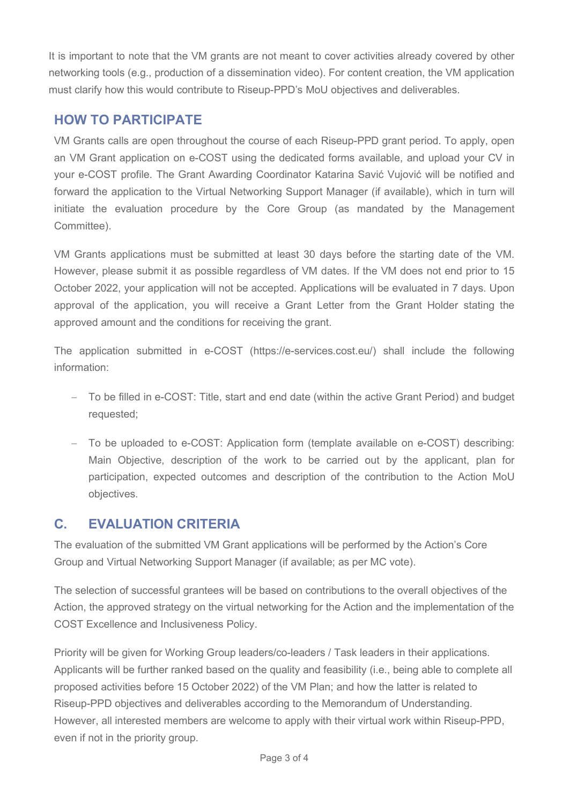It is important to note that the VM grants are not meant to cover activities already covered by other networking tools (e.g., production of a dissemination video). For content creation, the VM application must clarify how this would contribute to Riseup-PPD's MoU objectives and deliverables.

### HOW TO PARTICIPATE

VM Grants calls are open throughout the course of each Riseup-PPD grant period. To apply, open an VM Grant application on e-COST using the dedicated forms available, and upload your CV in your e-COST profile. The Grant Awarding Coordinator Katarina Savić Vujović will be notified and forward the application to the Virtual Networking Support Manager (if available), which in turn will initiate the evaluation procedure by the Core Group (as mandated by the Management Committee).

VM Grants applications must be submitted at least 30 days before the starting date of the VM. However, please submit it as possible regardless of VM dates. If the VM does not end prior to 15 October 2022, your application will not be accepted. Applications will be evaluated in 7 days. Upon approval of the application, you will receive a Grant Letter from the Grant Holder stating the approved amount and the conditions for receiving the grant.

The application submitted in e-COST (https://e-services.cost.eu/) shall include the following information:

- To be filled in e-COST: Title, start and end date (within the active Grant Period) and budget requested;
- To be uploaded to e-COST: Application form (template available on e-COST) describing: Main Objective, description of the work to be carried out by the applicant, plan for participation, expected outcomes and description of the contribution to the Action MoU objectives.

## C. EVALUATION CRITERIA

The evaluation of the submitted VM Grant applications will be performed by the Action's Core Group and Virtual Networking Support Manager (if available; as per MC vote).

The selection of successful grantees will be based on contributions to the overall objectives of the Action, the approved strategy on the virtual networking for the Action and the implementation of the COST Excellence and Inclusiveness Policy.

Priority will be given for Working Group leaders/co-leaders / Task leaders in their applications. Applicants will be further ranked based on the quality and feasibility (i.e., being able to complete all proposed activities before 15 October 2022) of the VM Plan; and how the latter is related to Riseup-PPD objectives and deliverables according to the Memorandum of Understanding. However, all interested members are welcome to apply with their virtual work within Riseup-PPD, even if not in the priority group.